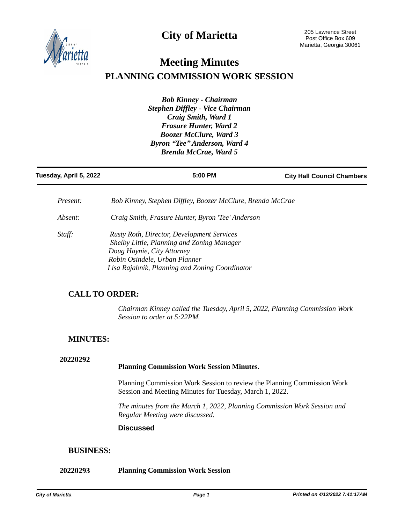**City of Marietta**



# **Meeting Minutes PLANNING COMMISSION WORK SESSION**

*Bob Kinney - Chairman Stephen Diffley - Vice Chairman Craig Smith, Ward 1 Frasure Hunter, Ward 2 Boozer McClure, Ward 3 Byron "Tee" Anderson, Ward 4 Brenda McCrae, Ward 5*

| Tuesday, April 5, 2022 | 5:00 PM                                                                                                                                                                                                          | <b>City Hall Council Chambers</b> |
|------------------------|------------------------------------------------------------------------------------------------------------------------------------------------------------------------------------------------------------------|-----------------------------------|
| Present:               | Bob Kinney, Stephen Diffley, Boozer McClure, Brenda McCrae                                                                                                                                                       |                                   |
| Absent:                | Craig Smith, Frasure Hunter, Byron 'Tee' Anderson                                                                                                                                                                |                                   |
| Staff:                 | <b>Rusty Roth, Director, Development Services</b><br>Shelby Little, Planning and Zoning Manager<br>Doug Haynie, City Attorney<br>Robin Osindele, Urban Planner<br>Lisa Rajabnik, Planning and Zoning Coordinator |                                   |

## **CALL TO ORDER:**

*Chairman Kinney called the Tuesday, April 5, 2022, Planning Commission Work Session to order at 5:22PM.*

# **MINUTES:**

#### **20220292**

#### **Planning Commission Work Session Minutes.**

Planning Commission Work Session to review the Planning Commission Work Session and Meeting Minutes for Tuesday, March 1, 2022.

*The minutes from the March 1, 2022, Planning Commission Work Session and Regular Meeting were discussed.* 

#### **Discussed**

### **BUSINESS:**

#### **20220293 Planning Commission Work Session**